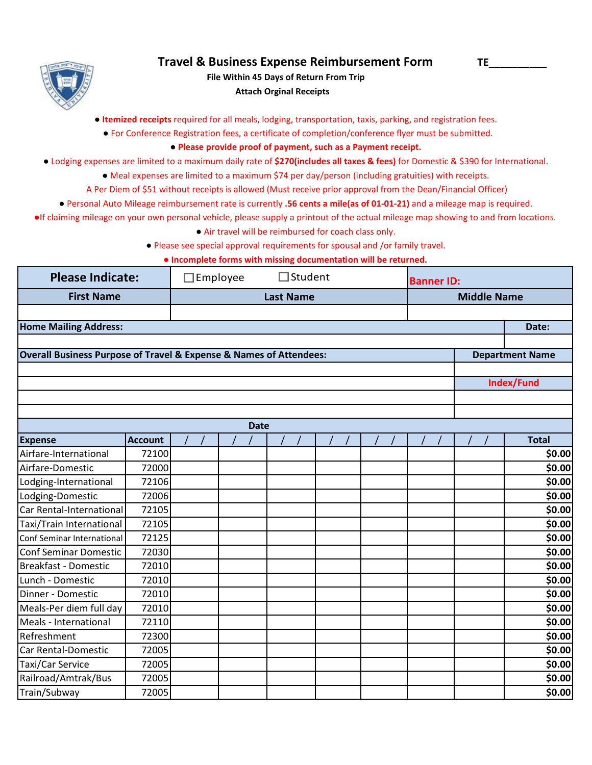

## **Travel & Business Expense Reimbursement Form TE\_\_\_\_\_\_\_\_\_\_**

 **Attach Orginal Receipts File Within 45 Days of Return From Trip**

● **Itemized receipts** required for all meals, lodging, transportation, taxis, parking, and registration fees.

● For Conference Registration fees, a certificate of completion/conference flyer must be submitted.

## **● Please provide proof of payment, such as a Payment receipt.**

- Lodging expenses are limited to a maximum daily rate of **\$270(includes all taxes & fees)** for Domestic & \$390 for International.
	- Meal expenses are limited to a maximum \$74 per day/person (including gratuities) with receipts.
	- A Per Diem of \$51 without receipts is allowed (Must receive prior approval from the Dean/Financial Officer)
	- Personal Auto Mileage reimbursement rate is currently **.56 cents a mile(as of 01-01-21)** and a mileage map is required.

●If claiming mileage on your own personal vehicle, please supply a printout of the actual mileage map showing to and from locations.

- Air travel will be reimbursed for coach class only.
- Please see special approval requirements for spousal and /or family travel.

**● Incomplete forms with missing documentation will be returned.**

| <b>Please Indicate:</b>                                                           |                  | $\Box$ Student<br>$\Box$ Employee |             |  | <b>Banner ID:</b>  |  |  |                        |
|-----------------------------------------------------------------------------------|------------------|-----------------------------------|-------------|--|--------------------|--|--|------------------------|
| <b>First Name</b>                                                                 | <b>Last Name</b> |                                   |             |  | <b>Middle Name</b> |  |  |                        |
|                                                                                   |                  |                                   |             |  |                    |  |  |                        |
| <b>Home Mailing Address:</b>                                                      |                  |                                   |             |  |                    |  |  | Date:                  |
|                                                                                   |                  |                                   |             |  |                    |  |  |                        |
| <b>Overall Business Purpose of Travel &amp; Expense &amp; Names of Attendees:</b> |                  |                                   |             |  |                    |  |  | <b>Department Name</b> |
|                                                                                   |                  |                                   |             |  |                    |  |  |                        |
|                                                                                   |                  |                                   |             |  |                    |  |  | Index/Fund             |
|                                                                                   |                  |                                   |             |  |                    |  |  |                        |
|                                                                                   |                  |                                   |             |  |                    |  |  |                        |
|                                                                                   |                  |                                   | <b>Date</b> |  |                    |  |  |                        |
| <b>Expense</b>                                                                    | <b>Account</b>   |                                   |             |  |                    |  |  | <b>Total</b>           |
| Airfare-International                                                             | 72100            |                                   |             |  |                    |  |  | \$0.00                 |
| Airfare-Domestic                                                                  | 72000            |                                   |             |  |                    |  |  | \$0.00                 |
| Lodging-International                                                             | 72106            |                                   |             |  |                    |  |  | \$0.00                 |
| Lodging-Domestic                                                                  | 72006            |                                   |             |  |                    |  |  | \$0.00                 |
| Car Rental-International                                                          | 72105            |                                   |             |  |                    |  |  | \$0.00                 |
| Taxi/Train International                                                          | 72105            |                                   |             |  |                    |  |  | \$0.00                 |
| Conf Seminar International                                                        | 72125            |                                   |             |  |                    |  |  | \$0.00                 |
| <b>Conf Seminar Domestic</b>                                                      | 72030            |                                   |             |  |                    |  |  | \$0.00                 |
| <b>Breakfast - Domestic</b>                                                       | 72010            |                                   |             |  |                    |  |  | \$0.00                 |
| Lunch - Domestic                                                                  | 72010            |                                   |             |  |                    |  |  | \$0.00                 |
| Dinner - Domestic                                                                 | 72010            |                                   |             |  |                    |  |  | \$0.00                 |
| Meals-Per diem full day                                                           | 72010            |                                   |             |  |                    |  |  | \$0.00                 |
| Meals - International                                                             | 72110            |                                   |             |  |                    |  |  | \$0.00                 |
| Refreshment                                                                       | 72300            |                                   |             |  |                    |  |  | \$0.00                 |
| <b>Car Rental-Domestic</b>                                                        | 72005            |                                   |             |  |                    |  |  | \$0.00                 |
| <b>Taxi/Car Service</b>                                                           | 72005            |                                   |             |  |                    |  |  | \$0.00                 |
| Railroad/Amtrak/Bus                                                               | 72005            |                                   |             |  |                    |  |  | \$0.00                 |
| Train/Subway                                                                      | 72005            |                                   |             |  |                    |  |  | \$0.00                 |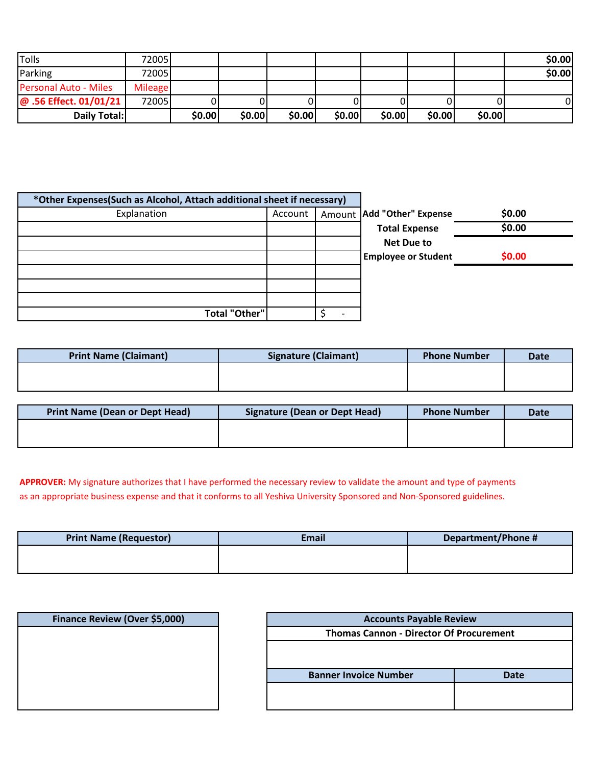| Tolls                        | 720051         |        |        |        |        |        |        |        | \$0.00 |
|------------------------------|----------------|--------|--------|--------|--------|--------|--------|--------|--------|
| Parking                      | 72005          |        |        |        |        |        |        |        | \$0.00 |
| <b>Personal Auto - Miles</b> | <b>Mileage</b> |        |        |        |        |        |        |        |        |
| @ .56 Effect. 01/01/21       | 72005          |        |        |        |        |        |        |        | 0      |
| Daily Total:                 |                | \$0.00 | \$0.00 | \$0.00 | \$0.00 | \$0.00 | \$0.00 | \$0.00 |        |

| *Other Expenses(Such as Alcohol, Attach additional sheet if necessary) |         |  |                              |        |
|------------------------------------------------------------------------|---------|--|------------------------------|--------|
| Explanation                                                            | Account |  | Amount   Add "Other" Expense | \$0.00 |
|                                                                        |         |  | <b>Total Expense</b>         | \$0.00 |
|                                                                        |         |  | <b>Net Due to</b>            |        |
|                                                                        |         |  | <b>Employee or Student</b>   | \$0.00 |
|                                                                        |         |  |                              |        |
|                                                                        |         |  |                              |        |
|                                                                        |         |  |                              |        |
| <b>Total "Other"</b>                                                   |         |  |                              |        |

| <b>Print Name (Claimant)</b> | <b>Signature (Claimant)</b> | <b>Phone Number</b> | <b>Date</b> |
|------------------------------|-----------------------------|---------------------|-------------|
|                              |                             |                     |             |
|                              |                             |                     |             |

| <b>Print Name (Dean or Dept Head)</b> | Signature (Dean or Dept Head) | <b>Phone Number</b> | <b>Date</b> |
|---------------------------------------|-------------------------------|---------------------|-------------|
|                                       |                               |                     |             |
|                                       |                               |                     |             |

**APPROVER:** My signature authorizes that I have performed the necessary review to validate the amount and type of payments as an appropriate business expense and that it conforms to all Yeshiva University Sponsored and Non-Sponsored guidelines.

| <b>Print Name (Requestor)</b> | Email | Department/Phone # |
|-------------------------------|-------|--------------------|
|                               |       |                    |
|                               |       |                    |

| Finance Review (Over \$5,000) | <b>Accounts Payable Review</b>                 |             |  |  |
|-------------------------------|------------------------------------------------|-------------|--|--|
|                               | <b>Thomas Cannon - Director Of Procurement</b> |             |  |  |
|                               | <b>Banner Invoice Number</b>                   | <b>Date</b> |  |  |